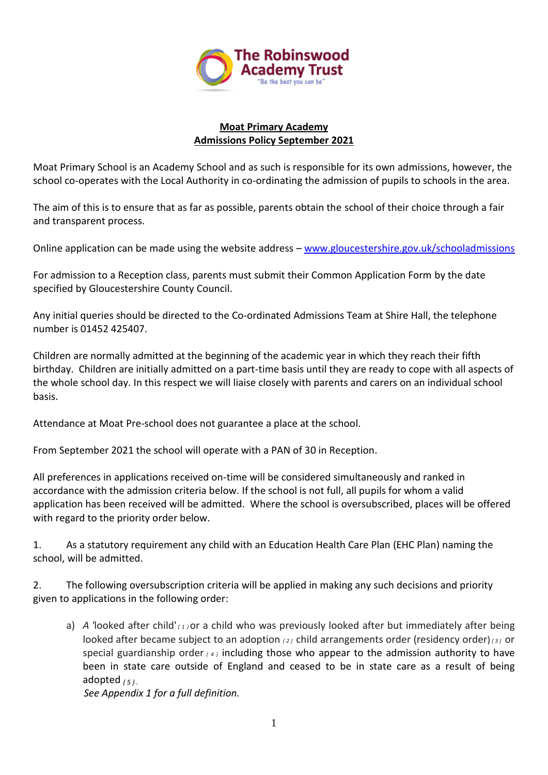

### **Moat Primary Academy Admissions Policy September 2021**

Moat Primary School is an Academy School and as such is responsible for its own admissions, however, the school co-operates with the Local Authority in co-ordinating the admission of pupils to schools in the area.

The aim of this is to ensure that as far as possible, parents obtain the school of their choice through a fair and transparent process.

Online application can be made using the website address – [www.gloucestershire.gov.uk/schooladmissions](http://www.gloucestershire.gov.uk/schooladmissions)

For admission to a Reception class, parents must submit their Common Application Form by the date specified by Gloucestershire County Council.

Any initial queries should be directed to the Co-ordinated Admissions Team at Shire Hall, the telephone number is 01452 425407.

Children are normally admitted at the beginning of the academic year in which they reach their fifth birthday. Children are initially admitted on a part-time basis until they are ready to cope with all aspects of the whole school day. In this respect we will liaise closely with parents and carers on an individual school basis.

Attendance at Moat Pre-school does not guarantee a place at the school.

From September 2021 the school will operate with a PAN of 30 in Reception.

All preferences in applications received on-time will be considered simultaneously and ranked in accordance with the admission criteria below. If the school is not full, all pupils for whom a valid application has been received will be admitted. Where the school is oversubscribed, places will be offered with regard to the priority order below.

1. As a statutory requirement any child with an Education Health Care Plan (EHC Plan) naming the school, will be admitted.

2. The following oversubscription criteria will be applied in making any such decisions and priority given to applications in the following order:

a) *A '*looked after child' *( <sup>1</sup> )*or a child who was previously looked after but immediately after being looked after became subject to an adoption *( <sup>2</sup> )* child arrangements order (residency order)*( <sup>3</sup> )* or special guardianship order *( <sup>4</sup> )* including those who appear to the admission authority to have been in state care outside of England and ceased to be in state care as a result of being adopted *( <sup>5</sup> ) .*

 *See Appendix 1 for a full definition.*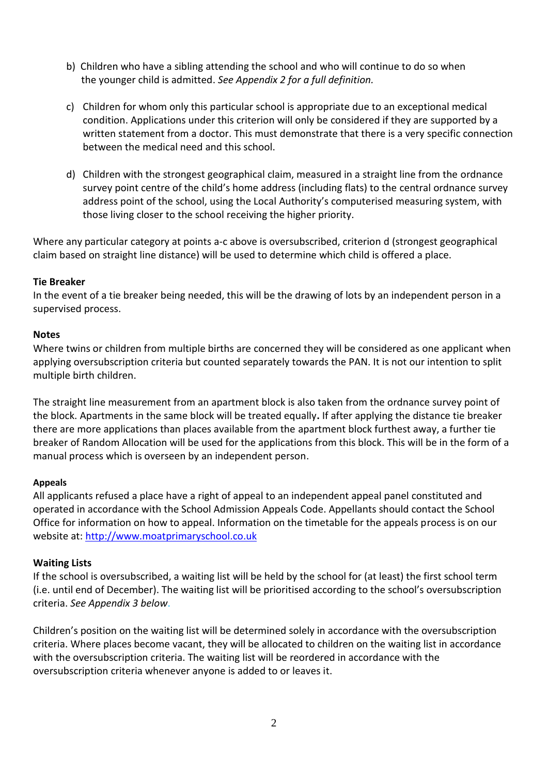- b) Children who have a sibling attending the school and who will continue to do so when the younger child is admitted. *See Appendix 2 for a full definition.*
- c) Children for whom only this particular school is appropriate due to an exceptional medical condition. Applications under this criterion will only be considered if they are supported by a written statement from a doctor. This must demonstrate that there is a very specific connection between the medical need and this school.
- d) Children with the strongest geographical claim, measured in a straight line from the ordnance survey point centre of the child's home address (including flats) to the central ordnance survey address point of the school, using the Local Authority's computerised measuring system, with those living closer to the school receiving the higher priority.

Where any particular category at points a-c above is oversubscribed, criterion d (strongest geographical claim based on straight line distance) will be used to determine which child is offered a place.

#### **Tie Breaker**

In the event of a tie breaker being needed, this will be the drawing of lots by an independent person in a supervised process.

#### **Notes**

Where twins or children from multiple births are concerned they will be considered as one applicant when applying oversubscription criteria but counted separately towards the PAN. It is not our intention to split multiple birth children.

The straight line measurement from an apartment block is also taken from the ordnance survey point of the block. Apartments in the same block will be treated equally**.** If after applying the distance tie breaker there are more applications than places available from the apartment block furthest away, a further tie breaker of Random Allocation will be used for the applications from this block. This will be in the form of a manual process which is overseen by an independent person.

# **Appeals**

All applicants refused a place have a right of appeal to an independent appeal panel constituted and operated in accordance with the School Admission Appeals Code. Appellants should contact the School Office for information on how to appeal. Information on the timetable for the appeals process is on our website at[: http://www.moatprimaryschool.co.uk](http://www.moatprimaryschool.co.uk/)

# **Waiting Lists**

If the school is oversubscribed, a waiting list will be held by the school for (at least) the first school term (i.e. until end of December). The waiting list will be prioritised according to the school's oversubscription criteria. *See Appendix 3 below*.

Children's position on the waiting list will be determined solely in accordance with the oversubscription criteria. Where places become vacant, they will be allocated to children on the waiting list in accordance with the oversubscription criteria. The waiting list will be reordered in accordance with the oversubscription criteria whenever anyone is added to or leaves it.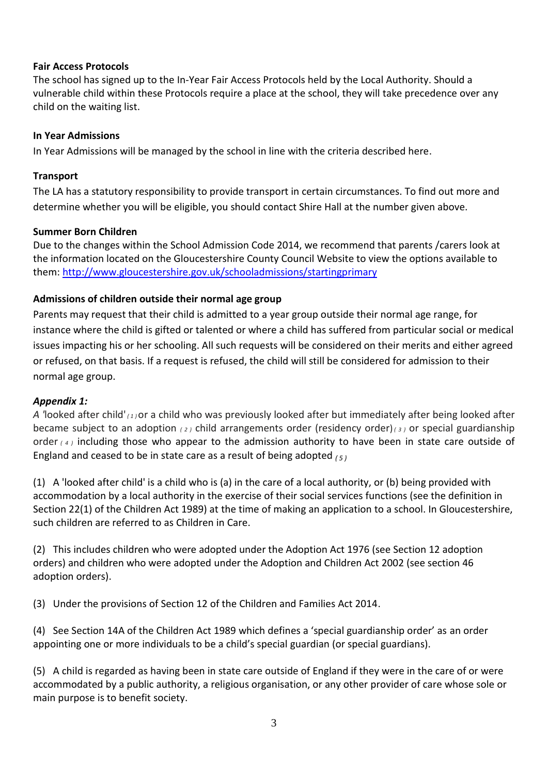### **Fair Access Protocols**

The school has signed up to the In-Year Fair Access Protocols held by the Local Authority. Should a vulnerable child within these Protocols require a place at the school, they will take precedence over any child on the waiting list.

### **In Year Admissions**

In Year Admissions will be managed by the school in line with the criteria described here.

### **Transport**

The LA has a statutory responsibility to provide transport in certain circumstances. To find out more and determine whether you will be eligible, you should contact Shire Hall at the number given above.

### **Summer Born Children**

Due to the changes within the School Admission Code 2014, we recommend that parents /carers look at the information located on the Gloucestershire County Council Website to view the options available to them: [http://www.gloucestershire.gov.uk/schooladmissions/startingprimary](http://www.gloucestershire.gov.uk/schooladmissions)

# **Admissions of children outside their normal age group**

Parents may request that their child is admitted to a year group outside their normal age range, for instance where the child is gifted or talented or where a child has suffered from particular social or medical issues impacting his or her schooling. All such requests will be considered on their merits and either agreed or refused, on that basis. If a request is refused, the child will still be considered for admission to their normal age group.

# *Appendix 1:*

*A '*looked after child' *( <sup>1</sup> )*or a child who was previously looked after but immediately after being looked after became subject to an adoption *( <sup>2</sup> )* child arrangements order (residency order)*( <sup>3</sup> )* or special guardianship order *( <sup>4</sup> )* including those who appear to the admission authority to have been in state care outside of England and ceased to be in state care as a result of being adopted *( <sup>5</sup> )*

(1) A 'looked after child' is a child who is (a) in the care of a local authority, or (b) being provided with accommodation by a local authority in the exercise of their social services functions (see the definition in Section 22(1) of the Children Act 1989) at the time of making an application to a school. In Gloucestershire, such children are referred to as Children in Care.

(2) This includes children who were adopted under the Adoption Act 1976 (see Section 12 adoption orders) and children who were adopted under the Adoption and Children Act 2002 (see section 46 adoption orders).

(3) Under the provisions of Section 12 of the Children and Families Act 2014.

(4) See Section 14A of the Children Act 1989 which defines a 'special guardianship order' as an order appointing one or more individuals to be a child's special guardian (or special guardians).

(5) A child is regarded as having been in state care outside of England if they were in the care of or were accommodated by a public authority, a religious organisation, or any other provider of care whose sole or main purpose is to benefit society.